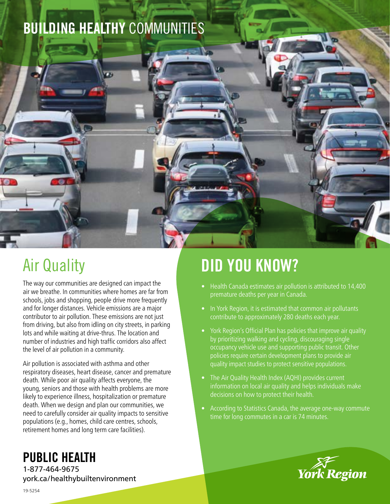



The way our communities are designed can impact the air we breathe. In communities where homes are far from schools, jobs and shopping, people drive more frequently and for longer distances. Vehicle emissions are a major contributor to air pollution. These emissions are not just from driving, but also from idling on city streets, in parking lots and while waiting at drive-thrus. The location and number of industries and high traffic corridors also affect the level of air pollution in a community.

Air pollution is associated with asthma and other respiratory diseases, heart disease, cancer and premature death. While poor air quality affects everyone, the young, seniors and those with health problems are more likely to experience illness, hospitalization or premature death. When we design and plan our communities, we need to carefully consider air quality impacts to sensitive populations (e.g., homes, child care centres, schools, retirement homes and long term care facilities).

# DID YOU KNOW?

- Health Canada estimates air pollution is attributed to 14,400 premature deaths per year in Canada.
- In York Region, it is estimated that common air pollutants contribute to approximately 280 deaths each year.
- York Region's Official Plan has policies that improve air quality by prioritizing walking and cycling, discouraging single occupancy vehicle use and supporting public transit. Other policies require certain development plans to provide air quality impact studies to protect sensitive populations.
- The Air Quality Health Index (AQHI) provides current information on local air quality and helps individuals make decisions on how to protect their health.
- According to Statistics Canada, the average one-way commute time for long commutes in a car is 74 minutes.



## PUBLIC HEALTH

1-877-464-9675 york.ca/healthybuiltenvironment